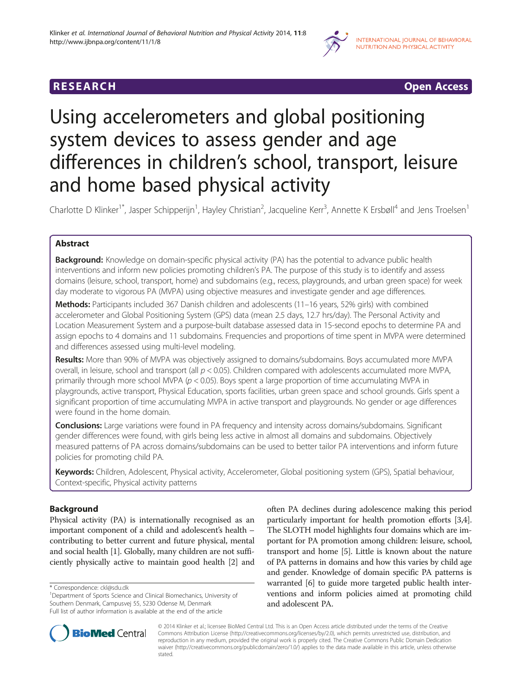

# **RESEARCH RESEARCH** *CHECKER CHECKER CHECKER CHECKER CHECKER CHECKER CHECKER CHECKER CHECKER CHECKER CHECKER*

# Using accelerometers and global positioning system devices to assess gender and age differences in children's school, transport, leisure and home based physical activity

Charlotte D Klinker<sup>1\*</sup>, Jasper Schipperijn<sup>1</sup>, Hayley Christian<sup>2</sup>, Jacqueline Kerr<sup>3</sup>, Annette K Ersbøll<sup>4</sup> and Jens Troelsen<sup>1</sup>

# Abstract

**Background:** Knowledge on domain-specific physical activity (PA) has the potential to advance public health interventions and inform new policies promoting children's PA. The purpose of this study is to identify and assess domains (leisure, school, transport, home) and subdomains (e.g., recess, playgrounds, and urban green space) for week day moderate to vigorous PA (MVPA) using objective measures and investigate gender and age differences.

Methods: Participants included 367 Danish children and adolescents (11-16 years, 52% girls) with combined accelerometer and Global Positioning System (GPS) data (mean 2.5 days, 12.7 hrs/day). The Personal Activity and Location Measurement System and a purpose-built database assessed data in 15-second epochs to determine PA and assign epochs to 4 domains and 11 subdomains. Frequencies and proportions of time spent in MVPA were determined and differences assessed using multi-level modeling.

Results: More than 90% of MVPA was objectively assigned to domains/subdomains. Boys accumulated more MVPA overall, in leisure, school and transport (all  $p < 0.05$ ). Children compared with adolescents accumulated more MVPA, primarily through more school MVPA ( $p < 0.05$ ). Boys spent a large proportion of time accumulating MVPA in playgrounds, active transport, Physical Education, sports facilities, urban green space and school grounds. Girls spent a significant proportion of time accumulating MVPA in active transport and playgrounds. No gender or age differences were found in the home domain.

**Conclusions:** Large variations were found in PA frequency and intensity across domains/subdomains. Significant gender differences were found, with girls being less active in almost all domains and subdomains. Objectively measured patterns of PA across domains/subdomains can be used to better tailor PA interventions and inform future policies for promoting child PA.

Keywords: Children, Adolescent, Physical activity, Accelerometer, Global positioning system (GPS), Spatial behaviour, Context-specific, Physical activity patterns

# Background

Physical activity (PA) is internationally recognised as an important component of a child and adolescent's health – contributing to better current and future physical, mental and social health [\[1\]](#page-8-0). Globally, many children are not sufficiently physically active to maintain good health [[2\]](#page-8-0) and

often PA declines during adolescence making this period particularly important for health promotion efforts [[3,4](#page-8-0)]. The SLOTH model highlights four domains which are important for PA promotion among children: leisure, school, transport and home [\[5](#page-8-0)]. Little is known about the nature of PA patterns in domains and how this varies by child age and gender. Knowledge of domain specific PA patterns is warranted [[6](#page-8-0)] to guide more targeted public health interventions and inform policies aimed at promoting child and adolescent PA.



© 2014 Klinker et al.; licensee BioMed Central Ltd. This is an Open Access article distributed under the terms of the Creative Commons Attribution License [\(http://creativecommons.org/licenses/by/2.0\)](http://creativecommons.org/licenses/by/2.0), which permits unrestricted use, distribution, and reproduction in any medium, provided the original work is properly cited. The Creative Commons Public Domain Dedication waiver [\(http://creativecommons.org/publicdomain/zero/1.0/\)](http://creativecommons.org/publicdomain/zero/1.0/) applies to the data made available in this article, unless otherwise stated.

<sup>\*</sup> Correspondence: [ckl@sdu.dk](mailto:ckl@sdu.dk) <sup>1</sup>

<sup>&</sup>lt;sup>1</sup>Department of Sports Science and Clinical Biomechanics, University of Southern Denmark, Campusvej 55, 5230 Odense M, Denmark Full list of author information is available at the end of the article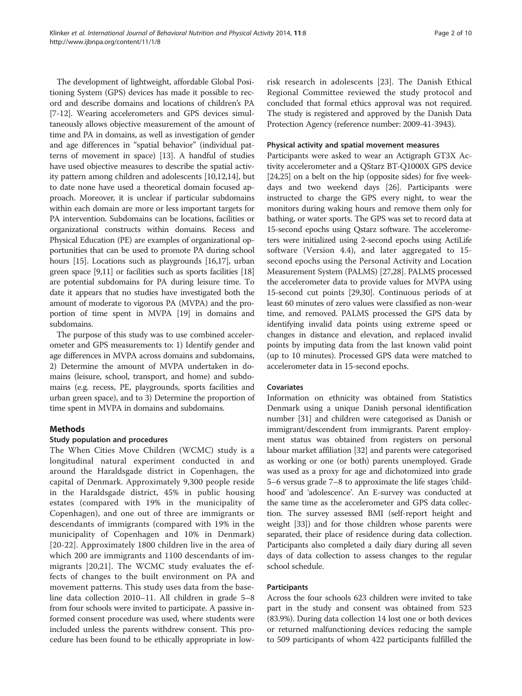The development of lightweight, affordable Global Positioning System (GPS) devices has made it possible to record and describe domains and locations of children's PA [[7-](#page-8-0)[12\]](#page-9-0). Wearing accelerometers and GPS devices simultaneously allows objective measurement of the amount of time and PA in domains, as well as investigation of gender and age differences in "spatial behavior" (individual patterns of movement in space) [\[13\]](#page-9-0). A handful of studies have used objective measures to describe the spatial activity pattern among children and adolescents [\[10,](#page-8-0)[12,14](#page-9-0)], but to date none have used a theoretical domain focused approach. Moreover, it is unclear if particular subdomains within each domain are more or less important targets for PA intervention. Subdomains can be locations, facilities or organizational constructs within domains. Recess and Physical Education (PE) are examples of organizational opportunities that can be used to promote PA during school hours [\[15\]](#page-9-0). Locations such as playgrounds [\[16,17](#page-9-0)], urban green space [[9,](#page-8-0)[11](#page-9-0)] or facilities such as sports facilities [\[18](#page-9-0)] are potential subdomains for PA during leisure time. To date it appears that no studies have investigated both the amount of moderate to vigorous PA (MVPA) and the proportion of time spent in MVPA [[19](#page-9-0)] in domains and subdomains.

The purpose of this study was to use combined accelerometer and GPS measurements to: 1) Identify gender and age differences in MVPA across domains and subdomains, 2) Determine the amount of MVPA undertaken in domains (leisure, school, transport, and home) and subdomains (e.g. recess, PE, playgrounds, sports facilities and urban green space), and to 3) Determine the proportion of time spent in MVPA in domains and subdomains.

# Methods

# Study population and procedures

The When Cities Move Children (WCMC) study is a longitudinal natural experiment conducted in and around the Haraldsgade district in Copenhagen, the capital of Denmark. Approximately 9,300 people reside in the Haraldsgade district, 45% in public housing estates (compared with 19% in the municipality of Copenhagen), and one out of three are immigrants or descendants of immigrants (compared with 19% in the municipality of Copenhagen and 10% in Denmark) [[20-22\]](#page-9-0). Approximately 1800 children live in the area of which 200 are immigrants and 1100 descendants of immigrants [\[20](#page-9-0),[21\]](#page-9-0). The WCMC study evaluates the effects of changes to the built environment on PA and movement patterns. This study uses data from the baseline data collection 2010–11. All children in grade 5–8 from four schools were invited to participate. A passive informed consent procedure was used, where students were included unless the parents withdrew consent. This procedure has been found to be ethically appropriate in lowrisk research in adolescents [[23\]](#page-9-0). The Danish Ethical Regional Committee reviewed the study protocol and concluded that formal ethics approval was not required. The study is registered and approved by the Danish Data Protection Agency (reference number: 2009-41-3943).

## Physical activity and spatial movement measures

Participants were asked to wear an Actigraph GT3X Activity accelerometer and a QStarz BT-Q1000X GPS device [[24,25](#page-9-0)] on a belt on the hip (opposite sides) for five weekdays and two weekend days [\[26\]](#page-9-0). Participants were instructed to charge the GPS every night, to wear the monitors during waking hours and remove them only for bathing, or water sports. The GPS was set to record data at 15-second epochs using Qstarz software. The accelerometers were initialized using 2-second epochs using ActiLife software (Version 4.4), and later aggregated to 15 second epochs using the Personal Activity and Location Measurement System (PALMS) [[27,28\]](#page-9-0). PALMS processed the accelerometer data to provide values for MVPA using 15-second cut points [\[29,30](#page-9-0)]. Continuous periods of at least 60 minutes of zero values were classified as non-wear time, and removed. PALMS processed the GPS data by identifying invalid data points using extreme speed or changes in distance and elevation, and replaced invalid points by imputing data from the last known valid point (up to 10 minutes). Processed GPS data were matched to accelerometer data in 15-second epochs.

# Covariates

Information on ethnicity was obtained from Statistics Denmark using a unique Danish personal identification number [\[31\]](#page-9-0) and children were categorised as Danish or immigrant/descendent from immigrants. Parent employment status was obtained from registers on personal labour market affiliation [\[32\]](#page-9-0) and parents were categorised as working or one (or both) parents unemployed. Grade was used as a proxy for age and dichotomized into grade 5–6 versus grade 7–8 to approximate the life stages 'childhood' and 'adolescence'. An E-survey was conducted at the same time as the accelerometer and GPS data collection. The survey assessed BMI (self-report height and weight [[33](#page-9-0)]) and for those children whose parents were separated, their place of residence during data collection. Participants also completed a daily diary during all seven days of data collection to assess changes to the regular school schedule.

## Participants

Across the four schools 623 children were invited to take part in the study and consent was obtained from 523 (83.9%). During data collection 14 lost one or both devices or returned malfunctioning devices reducing the sample to 509 participants of whom 422 participants fulfilled the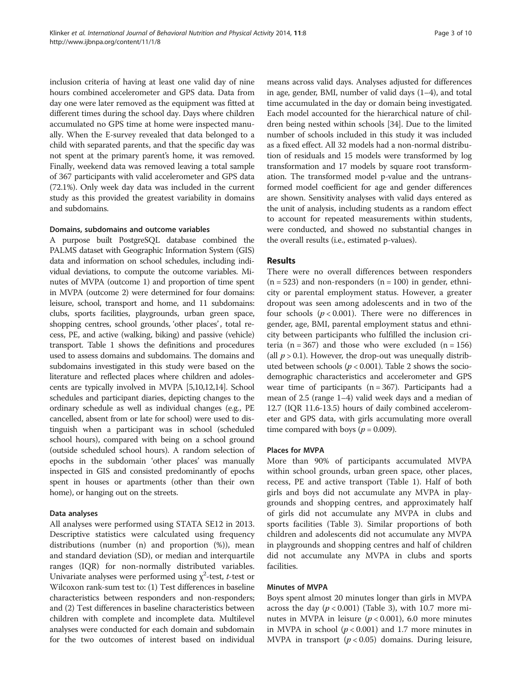inclusion criteria of having at least one valid day of nine hours combined accelerometer and GPS data. Data from day one were later removed as the equipment was fitted at different times during the school day. Days where children accumulated no GPS time at home were inspected manually. When the E-survey revealed that data belonged to a child with separated parents, and that the specific day was not spent at the primary parent's home, it was removed. Finally, weekend data was removed leaving a total sample of 367 participants with valid accelerometer and GPS data (72.1%). Only week day data was included in the current study as this provided the greatest variability in domains and subdomains.

#### Domains, subdomains and outcome variables

A purpose built PostgreSQL database combined the PALMS dataset with Geographic Information System (GIS) data and information on school schedules, including individual deviations, to compute the outcome variables. Minutes of MVPA (outcome 1) and proportion of time spent in MVPA (outcome 2) were determined for four domains: leisure, school, transport and home, and 11 subdomains: clubs, sports facilities, playgrounds, urban green space, shopping centres, school grounds, 'other places', total recess, PE, and active (walking, biking) and passive (vehicle) transport. Table [1](#page-3-0) shows the definitions and procedures used to assess domains and subdomains. The domains and subdomains investigated in this study were based on the literature and reflected places where children and adolescents are typically involved in MVPA [[5,10,](#page-8-0)[12,14\]](#page-9-0). School schedules and participant diaries, depicting changes to the ordinary schedule as well as individual changes (e.g., PE cancelled, absent from or late for school) were used to distinguish when a participant was in school (scheduled school hours), compared with being on a school ground (outside scheduled school hours). A random selection of epochs in the subdomain 'other places' was manually inspected in GIS and consisted predominantly of epochs spent in houses or apartments (other than their own home), or hanging out on the streets.

#### Data analyses

All analyses were performed using STATA SE12 in 2013. Descriptive statistics were calculated using frequency distributions (number (n) and proportion (%)), mean and standard deviation (SD), or median and interquartile ranges (IQR) for non-normally distributed variables. Univariate analyses were performed using  $\chi^2$ -test, *t*-test or Wilcoxon rank-sum test to: (1) Test differences in baseline characteristics between responders and non-responders; and (2) Test differences in baseline characteristics between children with complete and incomplete data. Multilevel analyses were conducted for each domain and subdomain for the two outcomes of interest based on individual

means across valid days. Analyses adjusted for differences in age, gender, BMI, number of valid days (1–4), and total time accumulated in the day or domain being investigated. Each model accounted for the hierarchical nature of children being nested within schools [\[34\]](#page-9-0). Due to the limited number of schools included in this study it was included as a fixed effect. All 32 models had a non-normal distribution of residuals and 15 models were transformed by log transformation and 17 models by square root transformation. The transformed model p-value and the untransformed model coefficient for age and gender differences are shown. Sensitivity analyses with valid days entered as the unit of analysis, including students as a random effect to account for repeated measurements within students, were conducted, and showed no substantial changes in the overall results (i.e., estimated p-values).

#### Results

There were no overall differences between responders  $(n = 523)$  and non-responders  $(n = 100)$  in gender, ethnicity or parental employment status. However, a greater dropout was seen among adolescents and in two of the four schools ( $p < 0.001$ ). There were no differences in gender, age, BMI, parental employment status and ethnicity between participants who fulfilled the inclusion criteria ( $n = 367$ ) and those who were excluded ( $n = 156$ ) (all  $p > 0.1$ ). However, the drop-out was unequally distributed between schools ( $p < 0.001$ ). Table [2](#page-4-0) shows the sociodemographic characteristics and accelerometer and GPS wear time of participants  $(n = 367)$ . Participants had a mean of 2.5 (range 1–4) valid week days and a median of 12.7 (IQR 11.6-13.5) hours of daily combined accelerometer and GPS data, with girls accumulating more overall time compared with boys ( $p = 0.009$ ).

#### Places for MVPA

More than 90% of participants accumulated MVPA within school grounds, urban green space, other places, recess, PE and active transport (Table [1\)](#page-3-0). Half of both girls and boys did not accumulate any MVPA in playgrounds and shopping centres, and approximately half of girls did not accumulate any MVPA in clubs and sports facilities (Table [3\)](#page-5-0). Similar proportions of both children and adolescents did not accumulate any MVPA in playgrounds and shopping centres and half of children did not accumulate any MVPA in clubs and sports facilities.

## Minutes of MVPA

Boys spent almost 20 minutes longer than girls in MVPA across the day  $(p < 0.001)$  (Table [3](#page-5-0)), with 10.7 more minutes in MVPA in leisure ( $p < 0.001$ ), 6.0 more minutes in MVPA in school ( $p < 0.001$ ) and 1.7 more minutes in MVPA in transport ( $p < 0.05$ ) domains. During leisure,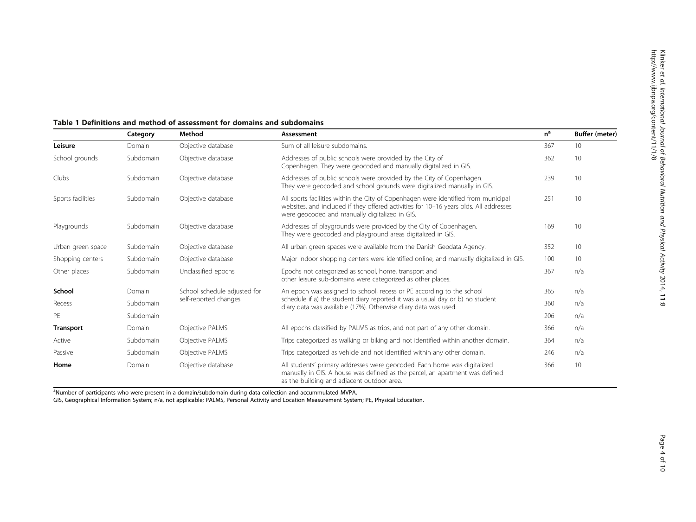# <span id="page-3-0"></span>Table 1 Definitions and method of assessment for domains and subdomains

|                   | Category  | Method                       | Assessment                                                                                                                                                                                                                    | $n^a$ | Buffer (meter)  |
|-------------------|-----------|------------------------------|-------------------------------------------------------------------------------------------------------------------------------------------------------------------------------------------------------------------------------|-------|-----------------|
| Leisure           | Domain    | Objective database           | Sum of all leisure subdomains.                                                                                                                                                                                                | 367   | 10              |
| School grounds    | Subdomain | Objective database           | Addresses of public schools were provided by the City of<br>Copenhagen. They were geocoded and manually digitalized in GIS.                                                                                                   |       | 10              |
| Clubs             | Subdomain | Objective database           | Addresses of public schools were provided by the City of Copenhagen.<br>They were geocoded and school grounds were digitalized manually in GIS.                                                                               | 239   | 10 <sup>°</sup> |
| Sports facilities | Subdomain | Objective database           | All sports facilities within the City of Copenhagen were identified from municipal<br>websites, and included if they offered activities for 10-16 years olds. All addresses<br>were geocoded and manually digitalized in GIS. | 251   | 10 <sup>°</sup> |
| Playgrounds       | Subdomain | Objective database           | Addresses of playgrounds were provided by the City of Copenhagen.<br>They were geocoded and playground areas digitalized in GIS.                                                                                              | 169   | 10 <sup>°</sup> |
| Urban green space | Subdomain | Objective database           | All urban green spaces were available from the Danish Geodata Agency.                                                                                                                                                         | 352   | 10              |
| Shopping centers  | Subdomain | Objective database           | Major indoor shopping centers were identified online, and manually digitalized in GIS.                                                                                                                                        | 100   | 10 <sup>°</sup> |
| Other places      | Subdomain | Unclassified epochs          | Epochs not categorized as school, home, transport and<br>other leisure sub-domains were categorized as other places.                                                                                                          | 367   | n/a             |
| School            | Domain    | School schedule adjusted for | An epoch was assigned to school, recess or PE according to the school                                                                                                                                                         | 365   | n/a             |
| Recess            | Subdomain | self-reported changes        | schedule if a) the student diary reported it was a usual day or b) no student<br>diary data was available (17%). Otherwise diary data was used.                                                                               | 360   | n/a             |
| PE                | Subdomain |                              |                                                                                                                                                                                                                               | 206   | n/a             |
| <b>Transport</b>  | Domain    | Objective PALMS              | All epochs classified by PALMS as trips, and not part of any other domain.                                                                                                                                                    | 366   | n/a             |
| Active            | Subdomain | Objective PALMS              | Trips categorized as walking or biking and not identified within another domain.                                                                                                                                              | 364   | n/a             |
| Passive           | Subdomain | Objective PALMS              | Trips categorized as vehicle and not identified within any other domain.                                                                                                                                                      | 246   | n/a             |
| Home              | Domain    | Objective database           | All students' primary addresses were geocoded. Each home was digitalized<br>manually in GIS. A house was defined as the parcel, an apartment was defined<br>as the building and adjacent outdoor area.                        | 366   | 10 <sup>°</sup> |

<sup>a</sup>Number of participants who were present in a domain/subdomain during data collection and accummulated MVPA.

GIS, Geographical Information System; n/a, not applicable; PALMS, Personal Activity and Location Measurement System; PE, Physical Education.

11:8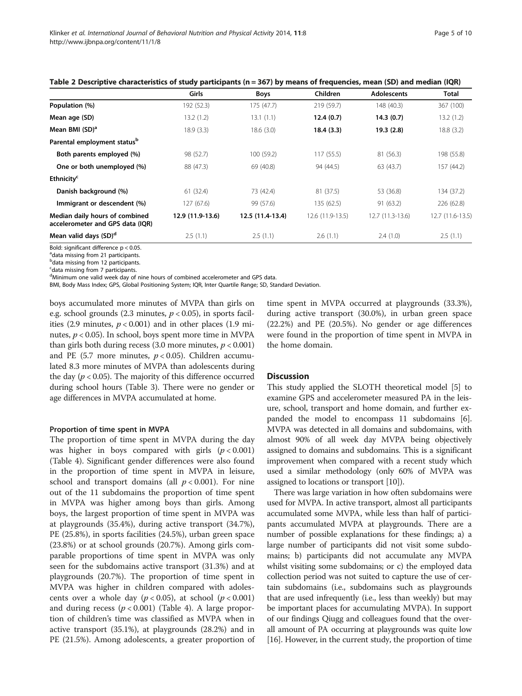|                                                                    | Girls            | <b>Boys</b>      | Children         | <b>Adolescents</b> | Total            |
|--------------------------------------------------------------------|------------------|------------------|------------------|--------------------|------------------|
| Population (%)                                                     | 192 (52.3)       | 175 (47.7)       | 219 (59.7)       | 148 (40.3)         | 367 (100)        |
| Mean age (SD)                                                      | 13.2(1.2)        | 13.1(1.1)        | 12.4(0.7)        | 14.3(0.7)          | 13.2(1.2)        |
| Mean BMI (SD) <sup>a</sup>                                         | 18.9(3.3)        | 18.6(3.0)        | 18.4(3.3)        | 19.3(2.8)          | 18.8(3.2)        |
| Parental employment status <sup>b</sup>                            |                  |                  |                  |                    |                  |
| Both parents employed (%)                                          | 98 (52.7)        | 100 (59.2)       | 117(55.5)        | 81 (56.3)          | 198 (55.8)       |
| One or both unemployed (%)                                         | 88 (47.3)        | 69 (40.8)        | 94 (44.5)        | 63 (43.7)          | 157 (44.2)       |
| Ethnicity <sup>c</sup>                                             |                  |                  |                  |                    |                  |
| Danish background (%)                                              | 61 (32.4)        | 73 (42.4)        | 81 (37.5)        | 53 (36.8)          | 134 (37.2)       |
| Immigrant or descendent (%)                                        | 127 (67.6)       | 99 (57.6)        | 135 (62.5)       | 91 (63.2)          | 226 (62.8)       |
| Median daily hours of combined<br>accelerometer and GPS data (IQR) | 12.9 (11.9-13.6) | 12.5 (11.4-13.4) | 12.6 (11.9-13.5) | 12.7 (11.3-13.6)   | 12.7 (11.6-13.5) |
| Mean valid days (SD) <sup>d</sup>                                  | 2.5(1.1)         | 2.5(1.1)         | 2.6(1.1)         | 2.4(1.0)           | 2.5(1.1)         |
|                                                                    |                  |                  |                  |                    |                  |

<span id="page-4-0"></span>

|  |  | Table 2 Descriptive characteristics of study participants (n = 367) by means of frequencies, mean (SD) and median (IQR) |  |
|--|--|-------------------------------------------------------------------------------------------------------------------------|--|
|--|--|-------------------------------------------------------------------------------------------------------------------------|--|

Bold: significant difference p < 0.05.

<sup>a</sup>data missing from 21 participants.

**b**data missing from 12 participants. <sup>c</sup>data missing from 7 participants.

<sup>d</sup>Minimum one valid week day of nine hours of combined accelerometer and GPS data.

BMI, Body Mass Index; GPS, Global Positioning System; IQR, Inter Quartile Range; SD, Standard Deviation.

boys accumulated more minutes of MVPA than girls on e.g. school grounds (2.3 minutes,  $p < 0.05$ ), in sports facilities (2.9 minutes,  $p < 0.001$ ) and in other places (1.9 minutes,  $p < 0.05$ ). In school, boys spent more time in MVPA than girls both during recess (3.0 more minutes,  $p < 0.001$ ) and PE (5.7 more minutes,  $p < 0.05$ ). Children accumulated 8.3 more minutes of MVPA than adolescents during the day ( $p < 0.05$ ). The majority of this difference occurred during school hours (Table [3\)](#page-5-0). There were no gender or age differences in MVPA accumulated at home.

#### Proportion of time spent in MVPA

The proportion of time spent in MVPA during the day was higher in boys compared with girls  $(p < 0.001)$ (Table [4](#page-6-0)). Significant gender differences were also found in the proportion of time spent in MVPA in leisure, school and transport domains (all  $p < 0.001$ ). For nine out of the 11 subdomains the proportion of time spent in MVPA was higher among boys than girls. Among boys, the largest proportion of time spent in MVPA was at playgrounds (35.4%), during active transport (34.7%), PE (25.8%), in sports facilities (24.5%), urban green space (23.8%) or at school grounds (20.7%). Among girls comparable proportions of time spent in MVPA was only seen for the subdomains active transport (31.3%) and at playgrounds (20.7%). The proportion of time spent in MVPA was higher in children compared with adolescents over a whole day ( $p < 0.05$ ), at school ( $p < 0.001$ ) and during recess  $(p < 0.001)$  (Table [4](#page-6-0)). A large proportion of children's time was classified as MVPA when in active transport (35.1%), at playgrounds (28.2%) and in PE (21.5%). Among adolescents, a greater proportion of time spent in MVPA occurred at playgrounds (33.3%), during active transport (30.0%), in urban green space (22.2%) and PE (20.5%). No gender or age differences were found in the proportion of time spent in MVPA in the home domain.

# **Discussion**

This study applied the SLOTH theoretical model [\[5\]](#page-8-0) to examine GPS and accelerometer measured PA in the leisure, school, transport and home domain, and further expanded the model to encompass 11 subdomains [[6](#page-8-0)]. MVPA was detected in all domains and subdomains, with almost 90% of all week day MVPA being objectively assigned to domains and subdomains. This is a significant improvement when compared with a recent study which used a similar methodology (only 60% of MVPA was assigned to locations or transport [[10](#page-8-0)]).

There was large variation in how often subdomains were used for MVPA. In active transport, almost all participants accumulated some MVPA, while less than half of participants accumulated MVPA at playgrounds. There are a number of possible explanations for these findings; a) a large number of participants did not visit some subdomains; b) participants did not accumulate any MVPA whilst visiting some subdomains; or c) the employed data collection period was not suited to capture the use of certain subdomains (i.e., subdomains such as playgrounds that are used infrequently (i.e., less than weekly) but may be important places for accumulating MVPA). In support of our findings Qiugg and colleagues found that the overall amount of PA occurring at playgrounds was quite low [[16](#page-9-0)]. However, in the current study, the proportion of time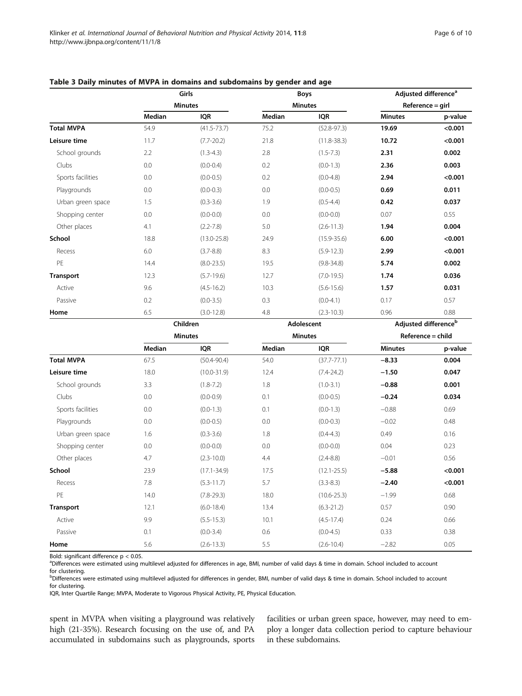|                   |               | Girls           | , ,           | <b>Boys</b>     |                | Adjusted difference <sup>a</sup> |  |
|-------------------|---------------|-----------------|---------------|-----------------|----------------|----------------------------------|--|
|                   |               | <b>Minutes</b>  |               | <b>Minutes</b>  |                | Reference = girl                 |  |
|                   | <b>Median</b> | <b>IQR</b>      | <b>Median</b> | <b>IQR</b>      | <b>Minutes</b> | p-value                          |  |
| <b>Total MVPA</b> | 54.9          | $(41.5 - 73.7)$ | 75.2          | $(52.8 - 97.3)$ | 19.69          | < 0.001                          |  |
| Leisure time      | 11.7          | $(7.7 - 20.2)$  | 21.8          | $(11.8 - 38.3)$ | 10.72          | < 0.001                          |  |
| School grounds    | 2.2           | $(1.3 - 4.3)$   | 2.8           | $(1.5 - 7.3)$   | 2.31           | 0.002                            |  |
| Clubs             | 0.0           | $(0.0 - 0.4)$   | 0.2           | $(0.0-1.3)$     | 2.36           | 0.003                            |  |
| Sports facilities | 0.0           | $(0.0 - 0.5)$   | 0.2           | $(0.0 - 4.8)$   | 2.94           | < 0.001                          |  |
| Playgrounds       | 0.0           | $(0.0 - 0.3)$   | 0.0           | $(0.0 - 0.5)$   | 0.69           | 0.011                            |  |
| Urban green space | 1.5           | $(0.3 - 3.6)$   | 1.9           | $(0.5 - 4.4)$   | 0.42           | 0.037                            |  |
| Shopping center   | 0.0           | $(0.0 - 0.0)$   | 0.0           | $(0.0 - 0.0)$   | 0.07           | 0.55                             |  |
| Other places      | 4.1           | $(2.2 - 7.8)$   | 5.0           | $(2.6 - 11.3)$  | 1.94           | 0.004                            |  |
| School            | 18.8          | $(13.0 - 25.8)$ | 24.9          | $(15.9 - 35.6)$ | 6.00           | < 0.001                          |  |
| Recess            | 6.0           | $(3.7 - 8.8)$   | 8.3           | $(5.9 - 12.3)$  | 2.99           | < 0.001                          |  |
| PE                | 14.4          | $(8.0 - 23.5)$  | 19.5          | $(9.8 - 34.8)$  | 5.74           | 0.002                            |  |
| <b>Transport</b>  | 12.3          | $(5.7 - 19.6)$  | 12.7          | $(7.0 - 19.5)$  | 1.74           | 0.036                            |  |
| Active            | 9.6           | $(4.5 - 16.2)$  | 10.3          | $(5.6 - 15.6)$  | 1.57           | 0.031                            |  |
| Passive           | 0.2           | $(0.0 - 3.5)$   | 0.3           | $(0.0 - 4.1)$   | 0.17           | 0.57                             |  |
| Home              | 6.5           | $(3.0 - 12.8)$  | 4.8           | $(2.3 - 10.3)$  | 0.96           | 0.88                             |  |
|                   |               | Children        |               | Adolescent      |                | Adjusted difference <sup>b</sup> |  |
|                   |               | <b>Minutes</b>  |               | <b>Minutes</b>  |                | Reference = child                |  |
|                   | Median        | <b>IQR</b>      | Median        | <b>IQR</b>      | <b>Minutes</b> | p-value                          |  |
| <b>Total MVPA</b> | 67.5          | $(50.4 - 90.4)$ | 54.0          | $(37.7 - 77.1)$ | $-8.33$        | 0.004                            |  |
| Leisure time      | 18.0          | $(10.0 - 31.9)$ | 12.4          | $(7.4 - 24.2)$  | $-1.50$        | 0.047                            |  |
| School grounds    | 3.3           | $(1.8 - 7.2)$   | 1.8           | $(1.0 - 3.1)$   | $-0.88$        | 0.001                            |  |
| Clubs             | 0.0           | $(0.0 - 0.9)$   | 0.1           | $(0.0 - 0.5)$   | $-0.24$        | 0.034                            |  |
| Sports facilities | 0.0           | $(0.0-1.3)$     | 0.1           | $(0.0-1.3)$     | $-0.88$        | 0.69                             |  |
| Playgrounds       | 0.0           | $(0.0 - 0.5)$   | 0.0           | $(0.0 - 0.3)$   | $-0.02$        | 0.48                             |  |
| Urban green space | 1.6           | $(0.3 - 3.6)$   | 1.8           | $(0.4 - 4.3)$   | 0.49           | 0.16                             |  |
| Shopping center   | 0.0           | $(0.0 - 0.0)$   | 0.0           | $(0.0 - 0.0)$   | 0.04           | 0.23                             |  |
| Other places      | 4.7           | $(2.3 - 10.0)$  | 4.4           | $(2.4 - 8.8)$   | $-0.01$        | 0.56                             |  |
| School            | 23.9          | $(17.1 - 34.9)$ | 17.5          | $(12.1 - 25.5)$ | $-5.88$        | < 0.001                          |  |
| Recess            | $7.8\,$       | $(5.3 - 11.7)$  | 5.7           | $(3.3 - 8.3)$   | $-2.40$        | < 0.001                          |  |
| $\mathsf{PE}$     | 14.0          | $(7.8 - 29.3)$  | 18.0          | $(10.6 - 25.3)$ | $-1.99$        | 0.68                             |  |
| <b>Transport</b>  | 12.1          | $(6.0 - 18.4)$  | 13.4          | $(6.3 - 21.2)$  | 0.57           | 0.90                             |  |
| Active            | 9.9           | $(5.5 - 15.3)$  | 10.1          | $(4.5 - 17.4)$  | 0.24           | 0.66                             |  |
| Passive           | 0.1           | $(0.0 - 3.4)$   | 0.6           | $(0.0-4.5)$     | 0.33           | 0.38                             |  |
| Home              | 5.6           | $(2.6 - 13.3)$  | 5.5           | $(2.6 - 10.4)$  | $-2.82$        | 0.05                             |  |

# <span id="page-5-0"></span>Table 3 Daily minutes of MVPA in domains and subdomains by gender and age

Bold: significant difference p < 0.05.

a Differences were estimated using multilevel adjusted for differences in age, BMI, number of valid days & time in domain. School included to account for clustering.

b<br>Differences were estimated using multilevel adjusted for differences in gender, BMI, number of valid days & time in domain. School included to account

for clustering. IQR, Inter Quartile Range; MVPA, Moderate to Vigorous Physical Activity, PE, Physical Education.

spent in MVPA when visiting a playground was relatively high (21-35%). Research focusing on the use of, and PA accumulated in subdomains such as playgrounds, sports facilities or urban green space, however, may need to employ a longer data collection period to capture behaviour in these subdomains.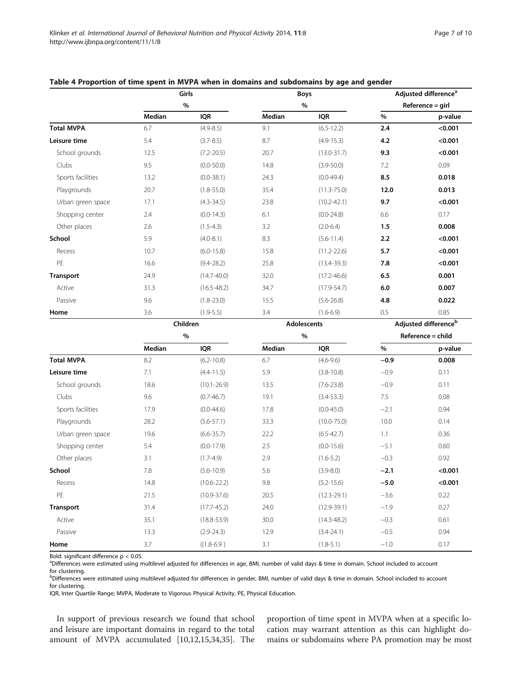|                   |        | Girls           |         | <b>Boys</b>        |                  | Adjusted difference <sup>a</sup> |
|-------------------|--------|-----------------|---------|--------------------|------------------|----------------------------------|
|                   | $\%$   |                 | $\%$    |                    | Reference = girl |                                  |
|                   | Median | <b>IQR</b>      | Median  | <b>IQR</b>         | $\%$             | p-value                          |
| <b>Total MVPA</b> | 6.7    | $(4.9 - 8.5)$   | 9.1     | $(6.5 - 12.2)$     | 2.4              | < 0.001                          |
| Leisure time      | 5.4    | $(3.7 - 8.5)$   | 8.7     | $(4.9 - 15.3)$     | 4.2              | < 0.001                          |
| School grounds    | 12.5   | $(7.2 - 20.5)$  | 20.7    | $(13.0 - 31.7)$    | 9.3              | < 0.001                          |
| Clubs             | 9.5    | $(0.0 - 50.0)$  | 14.8    | $(3.9 - 50.0)$     | 7.2              | 0.09                             |
| Sports facilities | 13.2   | $(0.0 - 38.1)$  | 24.3    | $(0.0 - 49.4)$     | 8.5              | 0.018                            |
| Playgrounds       | 20.7   | $(1.8 - 55.0)$  | 35.4    | $(11.3 - 75.0)$    | 12.0             | 0.013                            |
| Urban green space | 17.1   | $(4.3 - 34.5)$  | 23.8    | $(10.2 - 42.1)$    | 9.7              | < 0.001                          |
| Shopping center   | 2.4    | $(0.0-14.3)$    | 6.1     | $(0.0-24.8)$       | 6.6              | 0.17                             |
| Other places      | 2.6    | $(1.5 - 4.3)$   | 3.2     | $(2.0 - 6.4)$      | 1.5              | 0.008                            |
| School            | 5.9    | $(4.0 - 8.1)$   | 8.3     | $(5.6 - 11.4)$     | 2.2              | < 0.001                          |
| Recess            | 10.7   | $(6.0 - 15.8)$  | 15.8    | $(11.2 - 22.6)$    | 5.7              | < 0.001                          |
| PE                | 16.6   | $(9.4 - 28.2)$  | 25.8    | $(13.4 - 39.3)$    | 7.8              | < 0.001                          |
| <b>Transport</b>  | 24.9   | $(14.7 - 40.0)$ | 32.0    | $(17.2 - 46.6)$    | 6.5              | 0.001                            |
| Active            | 31.3   | $(16.5 - 48.2)$ | 34.7    | $(17.9 - 54.7)$    | 6.0              | 0.007                            |
| Passive           | 9.6    | $(1.8 - 23.0)$  | 15.5    | $(5.6 - 26.8)$     | 4.8              | 0.022                            |
| Home              | 3.6    | $(1.9 - 5.5)$   | 3.4     | $(1.6 - 6.9)$      | 0.5              | 0.85                             |
|                   |        | Children        |         | <b>Adolescents</b> |                  | Adjusted difference <sup>b</sup> |
|                   |        | %               |         | %                  |                  | Reference = child                |
|                   | Median | <b>IQR</b>      | Median  | <b>IQR</b>         | $\%$             | p-value                          |
| <b>Total MVPA</b> | 8.2    | $(6.2 - 10.8)$  | 6.7     | $(4.6 - 9.6)$      | $-0.9$           | 0.008                            |
| Leisure time      | 7.1    | $(4.4 - 11.5)$  | 5.9     | $(3.8 - 10.8)$     | $-0.9$           | 0.11                             |
| School grounds    | 18.6   | $(10.1 - 26.9)$ | 13.5    | $(7.6 - 23.8)$     | $-0.9$           | 0.11                             |
| Clubs             | 9.6    | $(0.7 - 46.7)$  | 19.1    | $(3.4 - 53.3)$     | 7.5              | 0.08                             |
| Sports facilities | 17.9   | $(0.0-44.6)$    | 17.8    | $(0.0 - 45.0)$     | $-2.1$           | 0.94                             |
| Playgrounds       | 28.2   | $(5.6 - 57.1)$  | 33.3    | $(10.0 - 75.0)$    | 10.0             | 0.14                             |
| Urban green space | 19.6   | $(6.6 - 35.7)$  | 22.2    | $(6.5 - 42.7)$     | 1.1              | 0.36                             |
| Shopping center   | 5.4    | $(0.0-17.9)$    | 2.5     | $(0.0 - 15.6)$     | $-5.1$           | 0.60                             |
| Other places      | 3.1    | $(1.7-4.9)$     | 2.9     | $(1.6 - 5.2)$      | $-0.3$           | 0.92                             |
| School            | 7.8    | $(5.6 - 10.9)$  | 5.6     | $(3.9 - 8.0)$      | $-2.1$           | < 0.001                          |
| Recess            | 14.8   | $(10.6 - 22.2)$ | 9.8     | $(5.2 - 15.6)$     | $-5.0$           | < 0.001                          |
| PE                | 21.5   | $(10.9 - 37.6)$ | 20.5    | $(12.3 - 29.1)$    | $-3.6$           | 0.22                             |
| <b>Transport</b>  | 31.4   | $(17.7 - 45.2)$ | 24.0    | $(12.9 - 39.1)$    | $-1.9$           | 0.27                             |
| Active            | 35.1   | $(18.8 - 53.9)$ | 30.0    | $(14.3 - 48.2)$    | $-0.3$           | 0.61                             |
| Passive           | 13.3   | $(2.9 - 24.3)$  | 12.9    | $(3.4 - 24.1)$     | $-0.5$           | 0.94                             |
| Home              | 3.7    | $((1.8-6.9)$    | $3.1\,$ | $(1.8 - 5.1)$      | $-1.0$           | 0.17                             |

## <span id="page-6-0"></span>Table 4 Proportion of time spent in MVPA when in domains and subdomains by age and gender

Bold: significant difference p < 0.05.

a Differences were estimated using multilevel adjusted for differences in age, BMI, number of valid days & time in domain. School included to account for clustering.

b<br>Differences were estimated using multilevel adjusted for differences in gender, BMI, number of valid days & time in domain. School included to account

for clustering. IQR, Inter Quartile Range; MVPA, Moderate to Vigorous Physical Activity, PE, Physical Education.

In support of previous research we found that school and leisure are important domains in regard to the total amount of MVPA accumulated [[10,](#page-8-0)[12,15,34,35\]](#page-9-0). The proportion of time spent in MVPA when at a specific location may warrant attention as this can highlight domains or subdomains where PA promotion may be most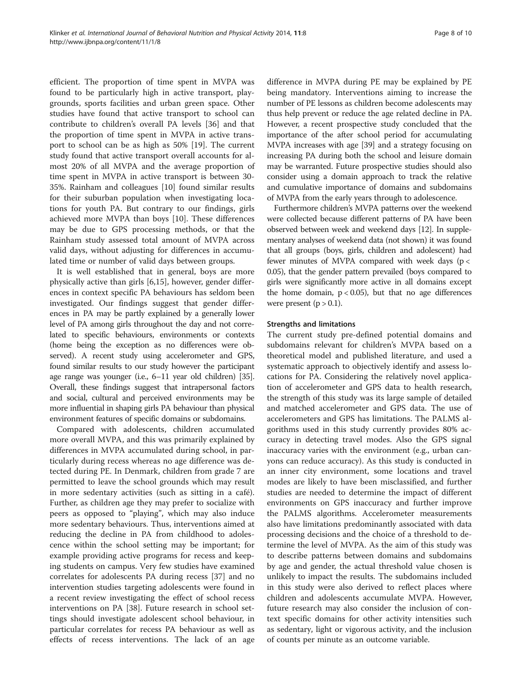efficient. The proportion of time spent in MVPA was found to be particularly high in active transport, playgrounds, sports facilities and urban green space. Other studies have found that active transport to school can contribute to children's overall PA levels [\[36](#page-9-0)] and that the proportion of time spent in MVPA in active transport to school can be as high as 50% [\[19](#page-9-0)]. The current study found that active transport overall accounts for almost 20% of all MVPA and the average proportion of time spent in MVPA in active transport is between 30- 35%. Rainham and colleagues [\[10](#page-8-0)] found similar results for their suburban population when investigating locations for youth PA. But contrary to our findings, girls achieved more MVPA than boys [[10](#page-8-0)]. These differences may be due to GPS processing methods, or that the Rainham study assessed total amount of MVPA across valid days, without adjusting for differences in accumulated time or number of valid days between groups.

It is well established that in general, boys are more physically active than girls [[6,](#page-8-0)[15\]](#page-9-0), however, gender differences in context specific PA behaviours has seldom been investigated. Our findings suggest that gender differences in PA may be partly explained by a generally lower level of PA among girls throughout the day and not correlated to specific behaviours, environments or contexts (home being the exception as no differences were observed). A recent study using accelerometer and GPS, found similar results to our study however the participant age range was younger (i.e., 6–11 year old children) [\[35](#page-9-0)]. Overall, these findings suggest that intrapersonal factors and social, cultural and perceived environments may be more influential in shaping girls PA behaviour than physical environment features of specific domains or subdomains.

Compared with adolescents, children accumulated more overall MVPA, and this was primarily explained by differences in MVPA accumulated during school, in particularly during recess whereas no age difference was detected during PE. In Denmark, children from grade 7 are permitted to leave the school grounds which may result in more sedentary activities (such as sitting in a café). Further, as children age they may prefer to socialize with peers as opposed to "playing", which may also induce more sedentary behaviours. Thus, interventions aimed at reducing the decline in PA from childhood to adolescence within the school setting may be important; for example providing active programs for recess and keeping students on campus. Very few studies have examined correlates for adolescents PA during recess [\[37](#page-9-0)] and no intervention studies targeting adolescents were found in a recent review investigating the effect of school recess interventions on PA [\[38\]](#page-9-0). Future research in school settings should investigate adolescent school behaviour, in particular correlates for recess PA behaviour as well as effects of recess interventions. The lack of an age

difference in MVPA during PE may be explained by PE being mandatory. Interventions aiming to increase the number of PE lessons as children become adolescents may thus help prevent or reduce the age related decline in PA. However, a recent prospective study concluded that the importance of the after school period for accumulating MVPA increases with age [\[39\]](#page-9-0) and a strategy focusing on increasing PA during both the school and leisure domain may be warranted. Future prospective studies should also consider using a domain approach to track the relative and cumulative importance of domains and subdomains of MVPA from the early years through to adolescence.

Furthermore children's MVPA patterns over the weekend were collected because different patterns of PA have been observed between week and weekend days [\[12\]](#page-9-0). In supplementary analyses of weekend data (not shown) it was found that all groups (boys, girls, children and adolescent) had fewer minutes of MVPA compared with week days ( $p <$ 0.05), that the gender pattern prevailed (boys compared to girls were significantly more active in all domains except the home domain,  $p < 0.05$ ), but that no age differences were present  $(p > 0.1)$ .

#### Strengths and limitations

The current study pre-defined potential domains and subdomains relevant for children's MVPA based on a theoretical model and published literature, and used a systematic approach to objectively identify and assess locations for PA. Considering the relatively novel application of accelerometer and GPS data to health research, the strength of this study was its large sample of detailed and matched accelerometer and GPS data. The use of accelerometers and GPS has limitations. The PALMS algorithms used in this study currently provides 80% accuracy in detecting travel modes. Also the GPS signal inaccuracy varies with the environment (e.g., urban canyons can reduce accuracy). As this study is conducted in an inner city environment, some locations and travel modes are likely to have been misclassified, and further studies are needed to determine the impact of different environments on GPS inaccuracy and further improve the PALMS algorithms. Accelerometer measurements also have limitations predominantly associated with data processing decisions and the choice of a threshold to determine the level of MVPA. As the aim of this study was to describe patterns between domains and subdomains by age and gender, the actual threshold value chosen is unlikely to impact the results. The subdomains included in this study were also derived to reflect places where children and adolescents accumulate MVPA. However, future research may also consider the inclusion of context specific domains for other activity intensities such as sedentary, light or vigorous activity, and the inclusion of counts per minute as an outcome variable.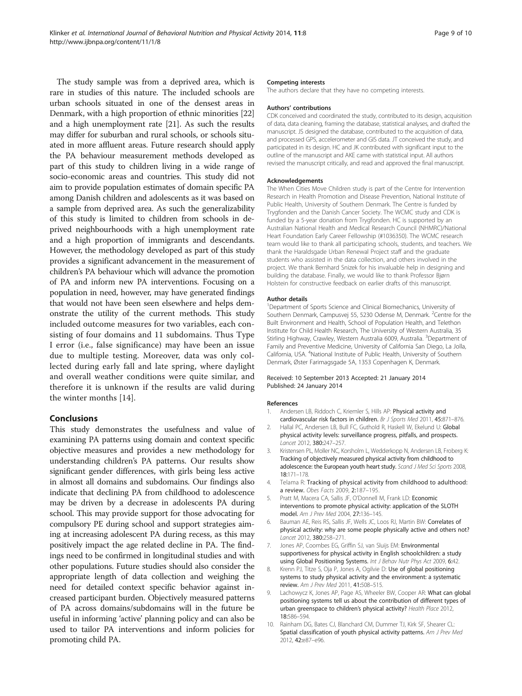<span id="page-8-0"></span>The study sample was from a deprived area, which is rare in studies of this nature. The included schools are urban schools situated in one of the densest areas in Denmark, with a high proportion of ethnic minorities [[22](#page-9-0)] and a high unemployment rate [\[21\]](#page-9-0). As such the results may differ for suburban and rural schools, or schools situated in more affluent areas. Future research should apply the PA behaviour measurement methods developed as part of this study to children living in a wide range of socio-economic areas and countries. This study did not aim to provide population estimates of domain specific PA among Danish children and adolescents as it was based on a sample from deprived area. As such the generalizability of this study is limited to children from schools in deprived neighbourhoods with a high unemployment rate and a high proportion of immigrants and descendants. However, the methodology developed as part of this study provides a significant advancement in the measurement of children's PA behaviour which will advance the promotion of PA and inform new PA interventions. Focusing on a population in need, however, may have generated findings that would not have been seen elsewhere and helps demonstrate the utility of the current methods. This study included outcome measures for two variables, each consisting of four domains and 11 subdomains. Thus Type I error (i.e., false significance) may have been an issue due to multiple testing. Moreover, data was only collected during early fall and late spring, where daylight and overall weather conditions were quite similar, and therefore it is unknown if the results are valid during the winter months [\[14](#page-9-0)].

# Conclusions

This study demonstrates the usefulness and value of examining PA patterns using domain and context specific objective measures and provides a new methodology for understanding children's PA patterns. Our results show significant gender differences, with girls being less active in almost all domains and subdomains. Our findings also indicate that declining PA from childhood to adolescence may be driven by a decrease in adolescents PA during school. This may provide support for those advocating for compulsory PE during school and support strategies aiming at increasing adolescent PA during recess, as this may positively impact the age related decline in PA. The findings need to be confirmed in longitudinal studies and with other populations. Future studies should also consider the appropriate length of data collection and weighing the need for detailed context specific behavior against increased participant burden. Objectively measured patterns of PA across domains/subdomains will in the future be useful in informing 'active' planning policy and can also be used to tailor PA interventions and inform policies for promoting child PA.

#### Competing interests

The authors declare that they have no competing interests.

#### Authors' contributions

CDK conceived and coordinated the study, contributed to its design, acquisition of data, data cleaning, framing the database, statistical analyses, and drafted the manuscript. JS designed the database, contributed to the acquisition of data, and processed GPS, accelerometer and GIS data. JT conceived the study, and participated in its design. HC and JK contributed with significant input to the outline of the manuscript and AKE came with statistical input. All authors revised the manuscript critically, and read and approved the final manuscript.

#### Acknowledgements

The When Cities Move Children study is part of the Centre for Intervention Research in Health Promotion and Disease Prevention, National Institute of Public Health, University of Southern Denmark. The Centre is funded by Trygfonden and the Danish Cancer Society. The WCMC study and CDK is funded by a 5-year donation from Trygfonden. HC is supported by an Australian National Health and Medical Research Council (NHMRC)/National Heart Foundation Early Career Fellowship (#1036350). The WCMC research team would like to thank all participating schools, students, and teachers. We thank the Haraldsgade Urban Renewal Project staff and the graduate students who assisted in the data collection, and others involved in the project. We thank Bernhard Snizek for his invaluable help in designing and building the database. Finally, we would like to thank Professor Bjørn Holstein for constructive feedback on earlier drafts of this manuscript.

#### Author details

<sup>1</sup>Department of Sports Science and Clinical Biomechanics, University of Southern Denmark, Campusvej 55, 5230 Odense M, Denmark. <sup>2</sup>Centre for the Built Environment and Health, School of Population Health, and Telethon Institute for Child Health Research, The University of Western Australia, 35 Stirling Highway, Crawley, Western Australia 6009, Australia. <sup>3</sup>Department of Family and Preventive Medicine, University of California San Diego, La Jolla, California, USA. <sup>4</sup>National Institute of Public Health, University of Southern Denmark, Øster Farimagsgade 5A, 1353 Copenhagen K, Denmark.

#### Received: 10 September 2013 Accepted: 21 January 2014 Published: 24 January 2014

#### References

- 1. Andersen LB, Riddoch C, Kriemler S, Hills AP: Physical activity and cardiovascular risk factors in children. Br J Sports Med 2011, 45:871-876.
- 2. Hallal PC, Andersen LB, Bull FC, Guthold R, Haskell W, Ekelund U: Global physical activity levels: surveillance progress, pitfalls, and prospects. Lancet 2012, 380:247–257.
- 3. Kristensen PL, Moller NC, Korsholm L, Wedderkopp N, Andersen LB, Froberg K: Tracking of objectively measured physical activity from childhood to adolescence: the European youth heart study. Scand J Med Sci Sports 2008, 18:171–178.
- 4. Telama R: Tracking of physical activity from childhood to adulthood: a review. Obes Facts 2009, 2:187–195.
- 5. Pratt M, Macera CA, Sallis JF, O'Donnell M, Frank LD: Economic interventions to promote physical activity: application of the SLOTH model. Am J Prev Med 2004, 27:136–145.
- 6. Bauman AE, Reis RS, Sallis JF, Wells JC, Loos RJ, Martin BW: Correlates of physical activity: why are some people physically active and others not? Lancet 2012, 380:258–271.
- 7. Jones AP, Coombes EG, Griffin SJ, van Sluijs EM: Environmental supportiveness for physical activity in English schoolchildren: a study using Global Positioning Systems. Int J Behav Nutr Phys Act 2009, 6:42.
- Krenn PJ, Titze S, Oja P, Jones A, Ogilvie D: Use of global positioning systems to study physical activity and the environment: a systematic review. Am J Prev Med 2011, 41:508–515.
- 9. Lachowycz K, Jones AP, Page AS, Wheeler BW, Cooper AR: What can global positioning systems tell us about the contribution of different types of urban greenspace to children's physical activity? Health Place 2012, 18:586–594.
- 10. Rainham DG, Bates CJ, Blanchard CM, Dummer TJ, Kirk SF, Shearer CL: Spatial classification of youth physical activity patterns. Am J Prev Med 2012, 42:e87–e96.